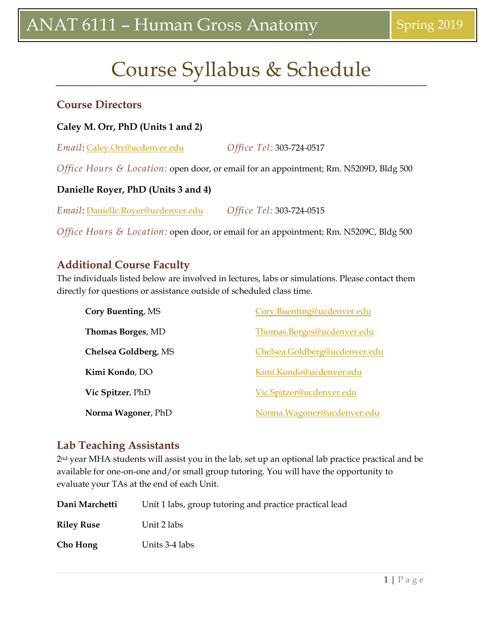## Course Syllabus & Schedule

#### **Course Directors**

#### **Caley M. Orr, PhD (Units 1 and 2)**

*Email*: [Caley.Orr@ucdenver.edu](mailto:Caley.Orr@ucdenver.edu) *Office Tel:* 303-724-0517

*Office Hours & Location:* open door, or email for an appointment; Rm. N5209D, Bldg 500

#### **Danielle Royer, PhD (Units 3 and 4)**

*Email*: [Danielle.Royer@ucdenver.edu](mailto:Danielle.Royer@ucdenver.edu) *Office Tel:* 303-724-0515

*Office Hours & Location:* open door, or email for an appointment; Rm. N5209C, Bldg 500

### **Additional Course Faculty**

The individuals listed below are involved in lectures, labs or simulations. Please contact them directly for questions or assistance outside of scheduled class time.

| Cory Buenting, MS        | Cory.Buenting@ucdenver.edu    |
|--------------------------|-------------------------------|
| <b>Thomas Borges, MD</b> | Thomas.Borges@ucdenver.edu    |
| Chelsea Goldberg, MS     | Chelsea.Goldberg@ucdenver.edu |
| Kimi Kondo, DO           | Kimi.Kondo@ucdenver.edu       |
| Vic Spitzer, PhD         | Vic.Spitzer@ucdenver.edu      |
| Norma Wagoner, PhD       | Norma. Wagoner@ucdenver.edu   |

## **Lab Teaching Assistants**

2<sup>nd</sup> year MHA students will assist you in the lab, set up an optional lab practice practical and be available for one-on-one and/or small group tutoring. You will have the opportunity to evaluate your TAs at the end of each Unit.

| Dani Marchetti    | Unit 1 labs, group tutoring and practice practical lead |
|-------------------|---------------------------------------------------------|
| <b>Riley Ruse</b> | Unit 2 labs                                             |
| Cho Hong          | Units 3-4 labs                                          |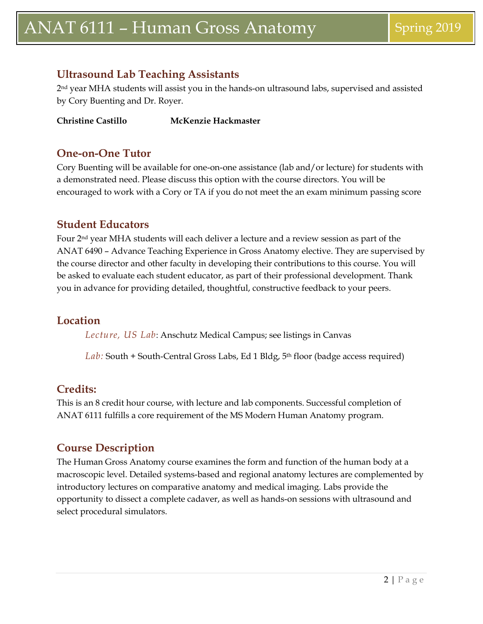## **Ultrasound Lab Teaching Assistants**

2nd year MHA students will assist you in the hands-on ultrasound labs, supervised and assisted by Cory Buenting and Dr. Royer.

**Christine Castillo McKenzie Hackmaster**

#### **One-on-One Tutor**

Cory Buenting will be available for one-on-one assistance (lab and/or lecture) for students with a demonstrated need. Please discuss this option with the course directors. You will be encouraged to work with a Cory or TA if you do not meet the an exam minimum passing score

### **Student Educators**

Four 2nd year MHA students will each deliver a lecture and a review session as part of the ANAT 6490 – Advance Teaching Experience in Gross Anatomy elective. They are supervised by the course director and other faculty in developing their contributions to this course. You will be asked to evaluate each student educator, as part of their professional development. Thank you in advance for providing detailed, thoughtful, constructive feedback to your peers.

### **Location**

*Lecture, US Lab*: Anschutz Medical Campus; see listings in Canvas

*Lab:* South + South-Central Gross Labs, Ed 1 Bldg, 5th floor (badge access required)

## **Credits:**

This is an 8 credit hour course, with lecture and lab components. Successful completion of ANAT 6111 fulfills a core requirement of the MS Modern Human Anatomy program.

## **Course Description**

The Human Gross Anatomy course examines the form and function of the human body at a macroscopic level. Detailed systems-based and regional anatomy lectures are complemented by introductory lectures on comparative anatomy and medical imaging. Labs provide the opportunity to dissect a complete cadaver, as well as hands-on sessions with ultrasound and select procedural simulators.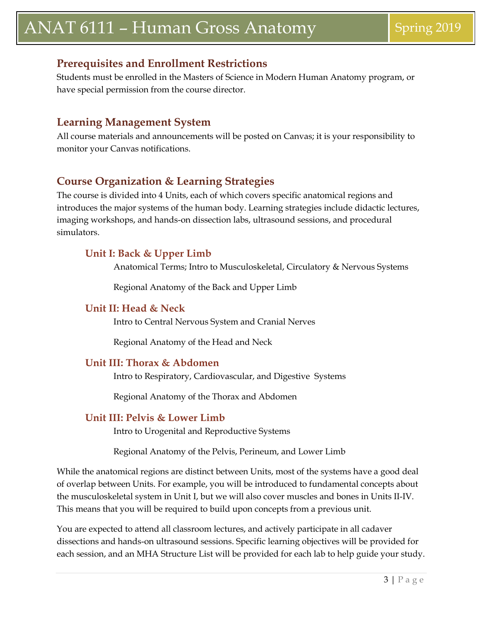## **Prerequisites and Enrollment Restrictions**

Students must be enrolled in the Masters of Science in Modern Human Anatomy program, or have special permission from the course director.

### **Learning Management System**

All course materials and announcements will be posted on Canvas; it is your responsibility to monitor your Canvas notifications.

## **Course Organization & Learning Strategies**

The course is divided into 4 Units, each of which covers specific anatomical regions and introduces the major systems of the human body. Learning strategies include didactic lectures, imaging workshops, and hands-on dissection labs, ultrasound sessions, and procedural simulators.

#### **Unit I: Back & Upper Limb**

Anatomical Terms; Intro to Musculoskeletal, Circulatory & Nervous Systems

Regional Anatomy of the Back and Upper Limb

#### **Unit II: Head & Neck**

Intro to Central Nervous System and Cranial Nerves

Regional Anatomy of the Head and Neck

#### **Unit III: Thorax & Abdomen**

Intro to Respiratory, Cardiovascular, and Digestive Systems

Regional Anatomy of the Thorax and Abdomen

#### **Unit III: Pelvis & Lower Limb**

Intro to Urogenital and Reproductive Systems

Regional Anatomy of the Pelvis, Perineum, and Lower Limb

While the anatomical regions are distinct between Units, most of the systems have a good deal of overlap between Units. For example, you will be introduced to fundamental concepts about the musculoskeletal system in Unit I, but we will also cover muscles and bones in Units II-IV. This means that you will be required to build upon concepts from a previous unit.

You are expected to attend all classroom lectures, and actively participate in all cadaver dissections and hands-on ultrasound sessions. Specific learning objectives will be provided for each session, and an MHA Structure List will be provided for each lab to help guide your study.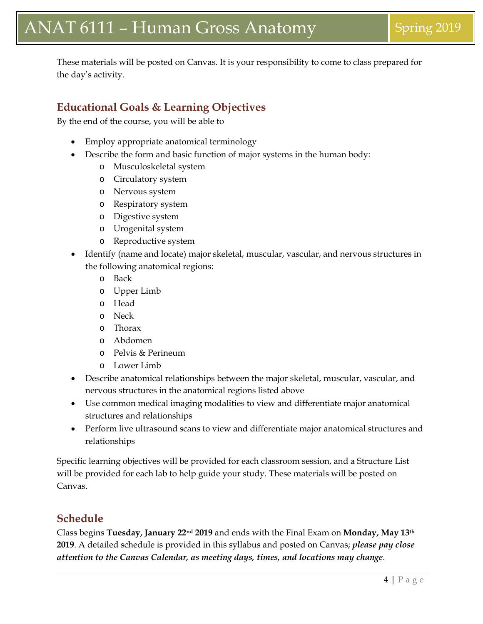These materials will be posted on Canvas. It is your responsibility to come to class prepared for the day's activity.

## **Educational Goals & Learning Objectives**

By the end of the course, you will be able to

- Employ appropriate anatomical terminology
- Describe the form and basic function of major systems in the human body:
	- o Musculoskeletal system
	- o Circulatory system
	- o Nervous system
	- o Respiratory system
	- o Digestive system
	- o Urogenital system
	- o Reproductive system
- Identify (name and locate) major skeletal, muscular, vascular, and nervous structures in the following anatomical regions:
	- o Back
	- o Upper Limb
	- o Head
	- o Neck
	- o Thorax
	- o Abdomen
	- o Pelvis & Perineum
	- o Lower Limb
- Describe anatomical relationships between the major skeletal, muscular, vascular, and nervous structures in the anatomical regions listed above
- Use common medical imaging modalities to view and differentiate major anatomical structures and relationships
- Perform live ultrasound scans to view and differentiate major anatomical structures and relationships

Specific learning objectives will be provided for each classroom session, and a Structure List will be provided for each lab to help guide your study. These materials will be posted on Canvas.

#### **Schedule**

Class begins **Tuesday, January 22nd 2019** and ends with the Final Exam on **Monday, May 13th 2019**. A detailed schedule is provided in this syllabus and posted on Canvas; *please pay close attention to the Canvas Calendar, as meeting days, times, and locations may change*.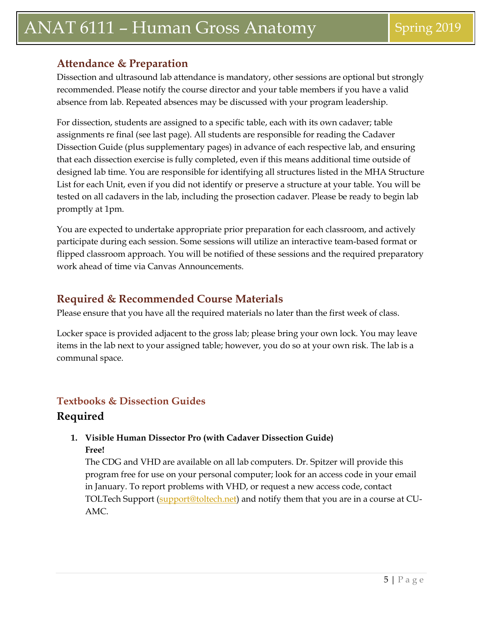## **Attendance & Preparation**

Dissection and ultrasound lab attendance is mandatory, other sessions are optional but strongly recommended. Please notify the course director and your table members if you have a valid absence from lab. Repeated absences may be discussed with your program leadership.

For dissection, students are assigned to a specific table, each with its own cadaver; table assignments re final (see last page). All students are responsible for reading the Cadaver Dissection Guide (plus supplementary pages) in advance of each respective lab, and ensuring that each dissection exercise is fully completed, even if this means additional time outside of designed lab time. You are responsible for identifying all structures listed in the MHA Structure List for each Unit, even if you did not identify or preserve a structure at your table. You will be tested on all cadavers in the lab, including the prosection cadaver. Please be ready to begin lab promptly at 1pm.

You are expected to undertake appropriate prior preparation for each classroom, and actively participate during each session. Some sessions will utilize an interactive team-based format or flipped classroom approach. You will be notified of these sessions and the required preparatory work ahead of time via Canvas Announcements.

## **Required & Recommended Course Materials**

Please ensure that you have all the required materials no later than the first week of class.

Locker space is provided adjacent to the gross lab; please bring your own lock. You may leave items in the lab next to your assigned table; however, you do so at your own risk. The lab is a communal space.

## **Textbooks & Dissection Guides Required**

#### **1. Visible Human Dissector Pro (with Cadaver Dissection Guide) Free!**

The CDG and VHD are available on all lab computers. Dr. Spitzer will provide this program free for use on your personal computer; look for an access code in your email in January. To report problems with VHD, or request a new access code, contact TOLTech Support [\(support@toltech.net\)](mailto:support@toltech.net) and notify them that you are in a course at CU-AMC.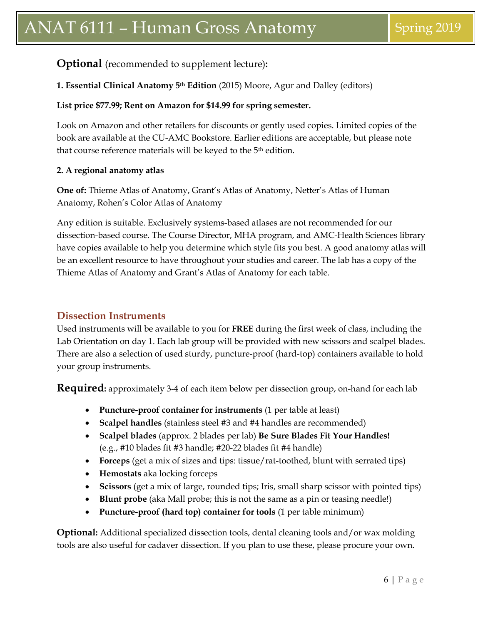### **Optional** (recommended to supplement lecture)**:**

#### **1. Essential Clinical Anatomy 5th Edition** (2015) Moore, Agur and Dalley (editors)

#### **List price \$77.99; Rent on Amazon for \$14.99 for spring semester.**

Look on Amazon and other retailers for discounts or gently used copies. Limited copies of the book are available at the CU-AMC Bookstore. Earlier editions are acceptable, but please note that course reference materials will be keyed to the 5th edition.

#### **2. A regional anatomy atlas**

**One of:** Thieme Atlas of Anatomy, Grant's Atlas of Anatomy, Netter's Atlas of Human Anatomy, Rohen's Color Atlas of Anatomy

Any edition is suitable. Exclusively systems-based atlases are not recommended for our dissection-based course. The Course Director, MHA program, and AMC-Health Sciences library have copies available to help you determine which style fits you best. A good anatomy atlas will be an excellent resource to have throughout your studies and career. The lab has a copy of the Thieme Atlas of Anatomy and Grant's Atlas of Anatomy for each table.

#### **Dissection Instruments**

Used instruments will be available to you for **FREE** during the first week of class, including the Lab Orientation on day 1. Each lab group will be provided with new scissors and scalpel blades. There are also a selection of used sturdy, puncture-proof (hard-top) containers available to hold your group instruments.

**Required:** approximately 3-4 of each item below per dissection group, on-hand for each lab

- **Puncture-proof container for instruments** (1 per table at least)
- **Scalpel handles** (stainless steel #3 and #4 handles are recommended)
- **Scalpel blades** (approx. 2 blades per lab) **Be Sure Blades Fit Your Handles!**  (e.g., #10 blades fit #3 handle; #20-22 blades fit #4 handle)
- **Forceps** (get a mix of sizes and tips: tissue/rat-toothed, blunt with serrated tips)
- **Hemostats** aka locking forceps
- **Scissors** (get a mix of large, rounded tips; Iris, small sharp scissor with pointed tips)
- **Blunt probe** (aka Mall probe; this is not the same as a pin or teasing needle!)
- **Puncture-proof (hard top) container for tools** (1 per table minimum)

**Optional:** Additional specialized dissection tools, dental cleaning tools and/or wax molding tools are also useful for cadaver dissection. If you plan to use these, please procure your own.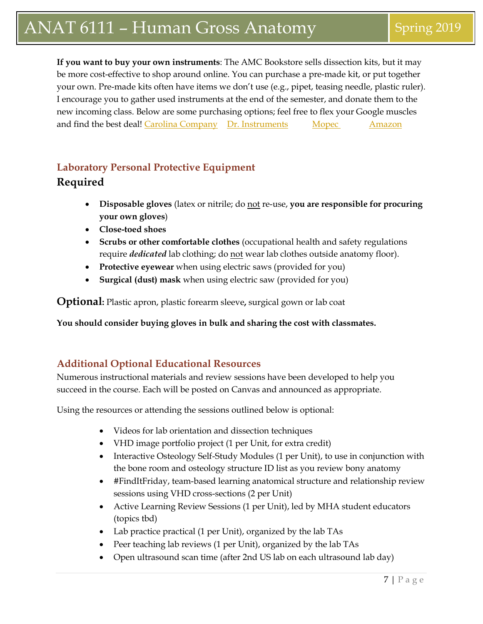**If you want to buy your own instruments**: The AMC Bookstore sells dissection kits, but it may be more cost-effective to shop around online. You can purchase a pre-made kit, or put together your own. Pre-made kits often have items we don't use (e.g., pipet, teasing needle, plastic ruler). I encourage you to gather used instruments at the end of the semester, and donate them to the new incoming class. Below are some purchasing options; feel free to flex your Google muscles and find the best deal! [Carolina Company](http://www.carolina.com/lab-supplies-and-equipment/10216.ct) [Dr. Instruments](https://www.drinstruments.com/) [Mopec](http://www.mopec.com/category/1/dissecting_instruments/?gclid=CM65oIGmisICFQQSMwodbxMAFQ) [Amazon](http://www.amazon.com/s/ref=nb_sb_ss_c_0_10?url=search-alias%3Dindustrial&field-keywords=dissection+kit&sprefix=dissection%2Caps%2C280)

## **Laboratory Personal Protective Equipment Required**

- **Disposable gloves** (latex or nitrile; do not re-use, **you are responsible for procuring your own gloves**)
- **Close-toed shoes**
- **Scrubs or other comfortable clothes** (occupational health and safety regulations require *dedicated* lab clothing; do not wear lab clothes outside anatomy floor).
- **Protective eyewear** when using electric saws (provided for you)
- **Surgical (dust) mask** when using electric saw (provided for you)

**Optional:** Plastic apron, plastic forearm sleeve**,** surgical gown or lab coat

**You should consider buying gloves in bulk and sharing the cost with classmates.**

#### **Additional Optional Educational Resources**

Numerous instructional materials and review sessions have been developed to help you succeed in the course. Each will be posted on Canvas and announced as appropriate.

Using the resources or attending the sessions outlined below is optional:

- Videos for lab orientation and dissection techniques
- VHD image portfolio project (1 per Unit, for extra credit)
- Interactive Osteology Self-Study Modules (1 per Unit), to use in conjunction with the bone room and osteology structure ID list as you review bony anatomy
- #FindItFriday, team-based learning anatomical structure and relationship review sessions using VHD cross-sections (2 per Unit)
- Active Learning Review Sessions (1 per Unit), led by MHA student educators (topics tbd)
- Lab practice practical (1 per Unit), organized by the lab TAs
- Peer teaching lab reviews (1 per Unit), organized by the lab TAs
- Open ultrasound scan time (after 2nd US lab on each ultrasound lab day)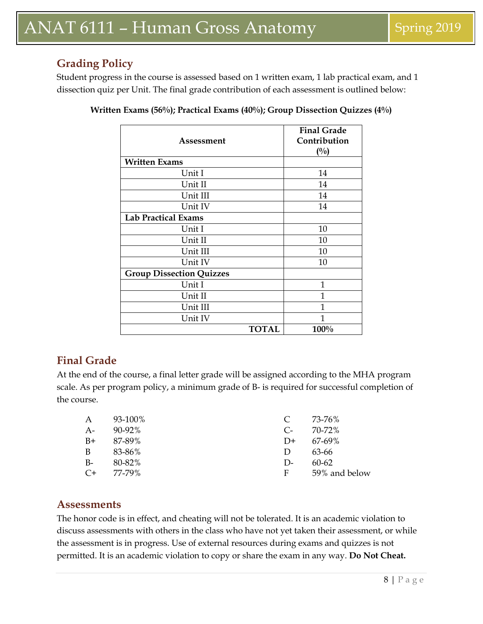## **Grading Policy**

Student progress in the course is assessed based on 1 written exam, 1 lab practical exam, and 1 dissection quiz per Unit. The final grade contribution of each assessment is outlined below:

| Assessment                      | <b>Final Grade</b><br>Contribution<br>(0/0) |
|---------------------------------|---------------------------------------------|
| <b>Written Exams</b>            |                                             |
| Unit I                          | 14                                          |
| Unit II                         | 14                                          |
| Unit III                        | 14                                          |
| Unit IV                         | 14                                          |
| <b>Lab Practical Exams</b>      |                                             |
| Unit I                          | 10                                          |
| Unit II                         | 10                                          |
| Unit III                        | 10                                          |
| Unit IV                         | 10                                          |
| <b>Group Dissection Quizzes</b> |                                             |
| Unit I                          | 1                                           |
| Unit II                         | 1                                           |
| Unit III                        | 1                                           |
| Unit IV                         | 1                                           |
|                                 | 100%<br><b>TOTAL</b>                        |

| Written Exams (56%); Practical Exams (40%); Group Dissection Quizzes (4%) |  |  |
|---------------------------------------------------------------------------|--|--|
|                                                                           |  |  |

## **Final Grade**

At the end of the course, a final letter grade will be assigned according to the MHA program scale. As per program policy, a minimum grade of B- is required for successful completion of the course.

| 93-100%                                   |  |
|-------------------------------------------|--|
| $90 - 92\%$<br>A-<br>70-72%<br>$C_{\tau}$ |  |
| B+<br>87-89%<br>67-69%<br>$D+$            |  |
| B.<br>83-86%<br>63-66<br>$\mathbf{D}$     |  |
| B-<br>80-82%<br>$60 - 62$<br>$D-$         |  |
| $C+$<br>59% and below<br>77-79%<br>F      |  |

### **Assessments**

The honor code is in effect, and cheating will not be tolerated. It is an academic violation to discuss assessments with others in the class who have not yet taken their assessment, or while the assessment is in progress. Use of external resources during exams and quizzes is not permitted. It is an academic violation to copy or share the exam in any way. **Do Not Cheat.**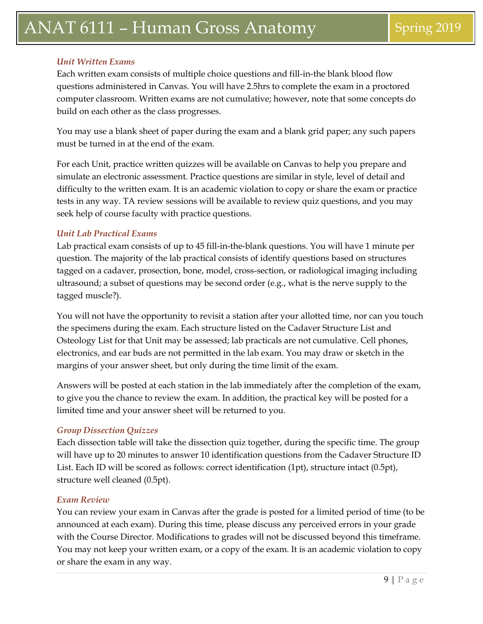#### *Unit Written Exams*

Each written exam consists of multiple choice questions and fill-in-the blank blood flow questions administered in Canvas. You will have 2.5hrs to complete the exam in a proctored computer classroom. Written exams are not cumulative; however, note that some concepts do build on each other as the class progresses.

You may use a blank sheet of paper during the exam and a blank grid paper; any such papers must be turned in at the end of the exam.

For each Unit, practice written quizzes will be available on Canvas to help you prepare and simulate an electronic assessment. Practice questions are similar in style, level of detail and difficulty to the written exam. It is an academic violation to copy or share the exam or practice tests in any way. TA review sessions will be available to review quiz questions, and you may seek help of course faculty with practice questions.

#### *Unit Lab Practical Exams*

Lab practical exam consists of up to 45 fill-in-the-blank questions. You will have 1 minute per question. The majority of the lab practical consists of identify questions based on structures tagged on a cadaver, prosection, bone, model, cross-section, or radiological imaging including ultrasound; a subset of questions may be second order (e.g., what is the nerve supply to the tagged muscle?).

You will not have the opportunity to revisit a station after your allotted time, nor can you touch the specimens during the exam. Each structure listed on the Cadaver Structure List and Osteology List for that Unit may be assessed; lab practicals are not cumulative. Cell phones, electronics, and ear buds are not permitted in the lab exam. You may draw or sketch in the margins of your answer sheet, but only during the time limit of the exam.

Answers will be posted at each station in the lab immediately after the completion of the exam, to give you the chance to review the exam. In addition, the practical key will be posted for a limited time and your answer sheet will be returned to you.

#### *Group Dissection Quizzes*

Each dissection table will take the dissection quiz together, during the specific time. The group will have up to 20 minutes to answer 10 identification questions from the Cadaver Structure ID List. Each ID will be scored as follows: correct identification (1pt), structure intact (0.5pt), structure well cleaned (0.5pt).

#### *Exam Review*

You can review your exam in Canvas after the grade is posted for a limited period of time (to be announced at each exam). During this time, please discuss any perceived errors in your grade with the Course Director. Modifications to grades will not be discussed beyond this timeframe. You may not keep your written exam, or a copy of the exam. It is an academic violation to copy or share the exam in any way.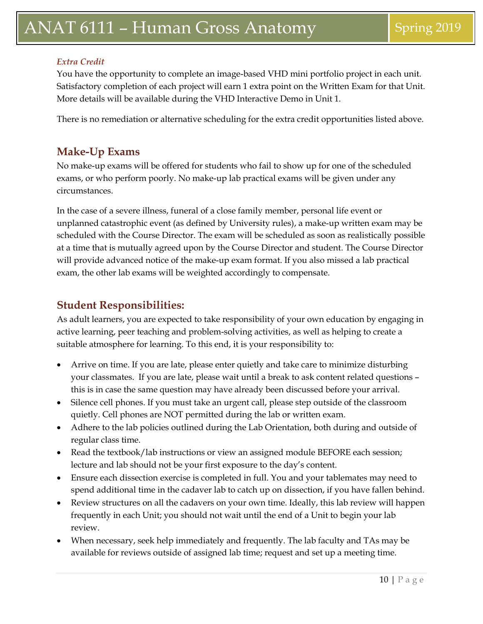#### *Extra Credit*

You have the opportunity to complete an image-based VHD mini portfolio project in each unit. Satisfactory completion of each project will earn 1 extra point on the Written Exam for that Unit. More details will be available during the VHD Interactive Demo in Unit 1.

There is no remediation or alternative scheduling for the extra credit opportunities listed above.

#### **Make-Up Exams**

No make-up exams will be offered for students who fail to show up for one of the scheduled exams, or who perform poorly. No make-up lab practical exams will be given under any circumstances.

In the case of a severe illness, funeral of a close family member, personal life event or unplanned catastrophic event (as defined by University rules), a make-up written exam may be scheduled with the Course Director. The exam will be scheduled as soon as realistically possible at a time that is mutually agreed upon by the Course Director and student. The Course Director will provide advanced notice of the make-up exam format. If you also missed a lab practical exam, the other lab exams will be weighted accordingly to compensate.

### **Student Responsibilities:**

As adult learners, you are expected to take responsibility of your own education by engaging in active learning, peer teaching and problem-solving activities, as well as helping to create a suitable atmosphere for learning. To this end, it is your responsibility to:

- Arrive on time. If you are late, please enter quietly and take care to minimize disturbing your classmates. If you are late, please wait until a break to ask content related questions – this is in case the same question may have already been discussed before your arrival.
- Silence cell phones. If you must take an urgent call, please step outside of the classroom quietly. Cell phones are NOT permitted during the lab or written exam.
- Adhere to the lab policies outlined during the Lab Orientation, both during and outside of regular class time.
- Read the textbook/lab instructions or view an assigned module BEFORE each session; lecture and lab should not be your first exposure to the day's content.
- Ensure each dissection exercise is completed in full. You and your tablemates may need to spend additional time in the cadaver lab to catch up on dissection, if you have fallen behind.
- Review structures on all the cadavers on your own time. Ideally, this lab review will happen frequently in each Unit; you should not wait until the end of a Unit to begin your lab review.
- When necessary, seek help immediately and frequently. The lab faculty and TAs may be available for reviews outside of assigned lab time; request and set up a meeting time.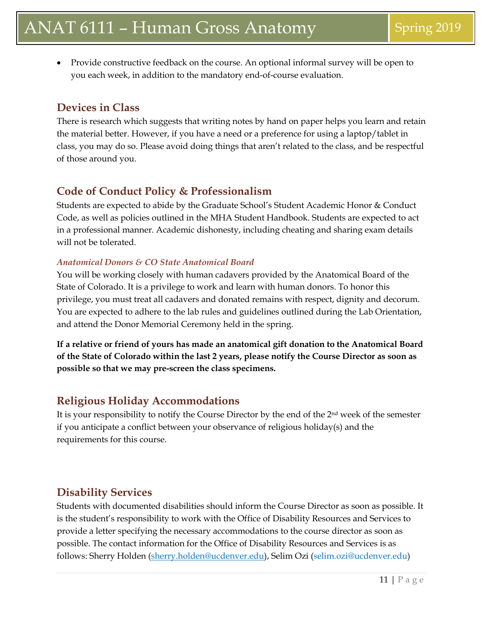• Provide constructive feedback on the course. An optional informal survey will be open to you each week, in addition to the mandatory end-of-course evaluation.

## **Devices in Class**

There is research which suggests that writing notes by hand on paper helps you learn and retain the material better. However, if you have a need or a preference for using a laptop/tablet in class, you may do so. Please avoid doing things that aren't related to the class, and be respectful of those around you.

### **Code of Conduct Policy & Professionalism**

Students are expected to abide by the Graduate School's Student Academic Honor & Conduct Code, as well as policies outlined in the MHA Student Handbook. Students are expected to act in a professional manner. Academic dishonesty, including cheating and sharing exam details will not be tolerated.

#### *Anatomical Donors & CO State Anatomical Board*

You will be working closely with human cadavers provided by the Anatomical Board of the State of Colorado. It is a privilege to work and learn with human donors. To honor this privilege, you must treat all cadavers and donated remains with respect, dignity and decorum. You are expected to adhere to the lab rules and guidelines outlined during the Lab Orientation, and attend the Donor Memorial Ceremony held in the spring.

**If a relative or friend of yours has made an anatomical gift donation to the Anatomical Board of the State of Colorado within the last 2 years, please notify the Course Director as soon as possible so that we may pre-screen the class specimens.** 

## **Religious Holiday Accommodations**

It is your responsibility to notify the Course Director by the end of the 2nd week of the semester if you anticipate a conflict between your observance of religious holiday(s) and the requirements for this course.

## **Disability Services**

Students with documented disabilities should inform the Course Director as soon as possible. It is the student's responsibility to work with the Office of Disability Resources and Services to provide a letter specifying the necessary accommodations to the course director as soon as possible. The contact information for the Office of Disability Resources and Services is as follows: Sherry Holden [\(sherry.holden@ucdenver.edu\)](mailto:sherry.holden@ucdenver.edu), Selim Ozi (selim.ozi@ucdenver.edu)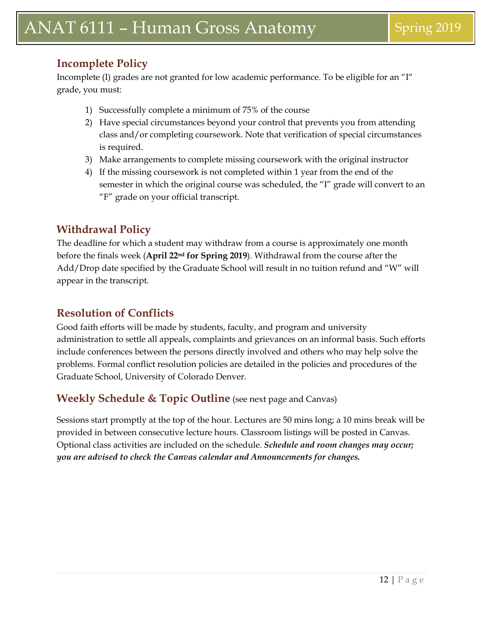## **Incomplete Policy**

Incomplete (I) grades are not granted for low academic performance. To be eligible for an "I" grade, you must:

- 1) Successfully complete a minimum of 75% of the course
- 2) Have special circumstances beyond your control that prevents you from attending class and/or completing coursework. Note that verification of special circumstances is required.
- 3) Make arrangements to complete missing coursework with the original instructor
- 4) If the missing coursework is not completed within 1 year from the end of the semester in which the original course was scheduled, the "I" grade will convert to an "F" grade on your official transcript.

## **Withdrawal Policy**

The deadline for which a student may withdraw from a course is approximately one month before the finals week (**April 22nd for Spring 2019**). Withdrawal from the course after the Add/Drop date specified by the Graduate School will result in no tuition refund and "W" will appear in the transcript.

## **Resolution of Conflicts**

Good faith efforts will be made by students, faculty, and program and university administration to settle all appeals, complaints and grievances on an informal basis. Such efforts include conferences between the persons directly involved and others who may help solve the problems. Formal conflict resolution policies are detailed in the policies and procedures of the Graduate School, University of Colorado Denver.

## **Weekly Schedule & Topic Outline** (see next page and Canvas)

Sessions start promptly at the top of the hour. Lectures are 50 mins long; a 10 mins break will be provided in between consecutive lecture hours. Classroom listings will be posted in Canvas. Optional class activities are included on the schedule. *Schedule and room changes may occur; you are advised to check the Canvas calendar and Announcements for changes.*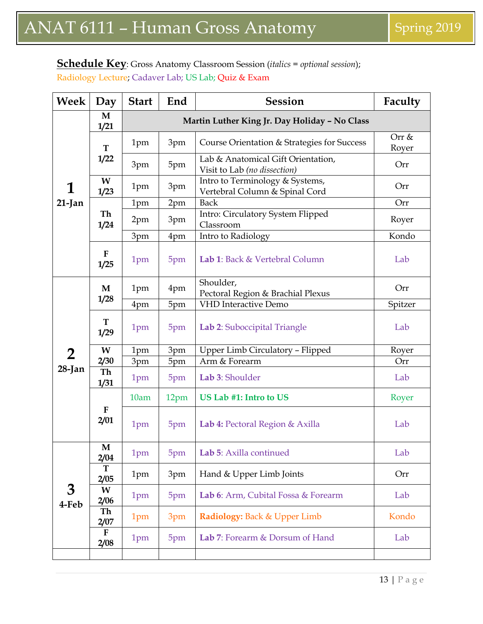### **Schedule Key**: Gross Anatomy Classroom Session (*italics = optional session*);

Radiology Lecture; Cadaver Lab; US Lab; Quiz & Exam

| Week                | Day                 | <b>Start</b>                                  | End  | <b>Session</b>                                                     | Faculty        |  |
|---------------------|---------------------|-----------------------------------------------|------|--------------------------------------------------------------------|----------------|--|
| $\mathbf M$<br>1/21 |                     | Martin Luther King Jr. Day Holiday - No Class |      |                                                                    |                |  |
|                     | ${\bf T}$           | 1pm                                           | 3pm  | Course Orientation & Strategies for Success                        | Orr &<br>Royer |  |
|                     | 1/22                | 3pm                                           | 5pm  | Lab & Anatomical Gift Orientation,<br>Visit to Lab (no dissection) | Orr            |  |
|                     | W<br>1/23           | 1pm                                           | 3pm  | Intro to Terminology & Systems,<br>Vertebral Column & Spinal Cord  | Orr            |  |
| $21$ -Jan           |                     | 1pm                                           | 2pm  | <b>Back</b>                                                        | Orr            |  |
|                     | Th<br>1/24          | 2pm                                           | 3pm  | Intro: Circulatory System Flipped<br>Classroom                     | Royer          |  |
|                     |                     | 3pm                                           | 4pm  | Intro to Radiology                                                 | Kondo          |  |
|                     | F<br>1/25           | 1pm                                           | 5pm  | Lab 1: Back & Vertebral Column                                     | Lab            |  |
|                     | M                   | 1pm                                           | 4pm  | Shoulder,<br>Pectoral Region & Brachial Plexus                     | Orr            |  |
|                     | 1/28                | 4pm                                           | 5pm  | <b>VHD</b> Interactive Demo                                        | Spitzer        |  |
|                     | T<br>1/29           | 1pm                                           | 5pm  | Lab 2: Suboccipital Triangle                                       | Lab            |  |
|                     | W                   | 1pm                                           | 3pm  | Upper Limb Circulatory - Flipped                                   | Royer          |  |
| $\mathbf 2$         | 2/30                | 3pm                                           | 5pm  | Arm & Forearm                                                      | Orr            |  |
| $28$ -Jan           | Th<br>1/31          | 1pm                                           | 5pm  | Lab 3: Shoulder                                                    | Lab            |  |
|                     |                     | 10am                                          | 12pm | US Lab #1: Intro to US                                             | Royer          |  |
|                     | F<br>2/01           | 1pm                                           | 5pm  | Lab 4: Pectoral Region & Axilla                                    | Lab            |  |
|                     | $\mathbf M$<br>2/04 | 1pm                                           | 5pm  | Lab 5: Axilla continued                                            | Lab            |  |
|                     | T<br>2/05           | 1pm                                           | 3pm  | Hand & Upper Limb Joints                                           | Orr            |  |
| 3<br>4-Feb          | W<br>2/06           | 1pm                                           | 5pm  | Lab 6: Arm, Cubital Fossa & Forearm                                | Lab            |  |
|                     | Th<br>2/07          | 1pm                                           | 3pm  | Radiology: Back & Upper Limb                                       | Kondo          |  |
|                     | ${\bf F}$<br>2/08   | 1pm                                           | 5pm  | Lab 7: Forearm & Dorsum of Hand                                    | Lab            |  |
|                     |                     |                                               |      |                                                                    |                |  |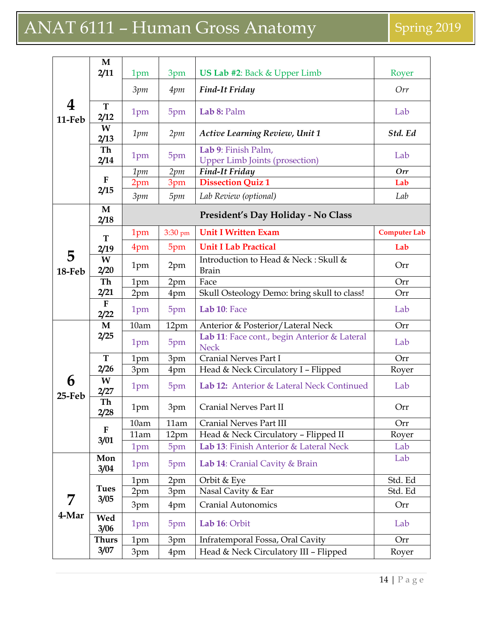|                | $\mathbf M$         |      |         |                                                              |                     |
|----------------|---------------------|------|---------|--------------------------------------------------------------|---------------------|
|                | 2/11                | 1pm  | 3pm     | US Lab #2: Back & Upper Limb                                 | Royer               |
|                |                     | 3pm  | 4pm     | <b>Find-It Friday</b>                                        | Orr                 |
| 4<br>11-Feb    | T<br>2/12           | 1pm  | 5pm     | Lab 8: Palm                                                  | Lab                 |
|                | W<br>2/13           | 1pm  | 2pm     | <b>Active Learning Review, Unit 1</b>                        | Std. Ed             |
|                | Th<br>2/14          | 1pm  | 5pm     | Lab 9: Finish Palm,<br><b>Upper Limb Joints (prosection)</b> | Lab                 |
|                |                     | 1pm  | 2pm     | <b>Find-It Friday</b>                                        | Orr                 |
|                | $\mathbf{F}$        | 2pm  | 3pm     | <b>Dissection Quiz 1</b>                                     | Lab                 |
|                | 2/15                | 3pm  | 5pm     | Lab Review (optional)                                        | Lab                 |
|                | $\mathbf M$<br>2/18 |      |         | President's Day Holiday - No Class                           |                     |
|                | T                   | 1pm  | 3:30 pm | <b>Unit I Written Exam</b>                                   | <b>Computer Lab</b> |
|                | 2/19                | 4pm  | 5pm     | <b>Unit I Lab Practical</b>                                  | Lab                 |
| 5<br>18-Feb    | W<br>2/20           | 1pm  | 2pm     | Introduction to Head & Neck: Skull &<br><b>Brain</b>         | Orr                 |
|                | Th                  | 1pm  | 2pm     | Face                                                         | Orr                 |
|                | 2/21                | 2pm  | 4pm     | Skull Osteology Demo: bring skull to class!                  | Orr                 |
|                | ${\bf F}$<br>2/22   | 1pm  | 5pm     | Lab 10: Face                                                 | Lab                 |
|                | $\mathbf M$         | 10am | 12pm    | Anterior & Posterior/Lateral Neck                            | Orr                 |
|                | 2/25                | 1pm  | 5pm     | Lab 11: Face cont., begin Anterior & Lateral<br><b>Neck</b>  | Lab                 |
|                | ${\bf T}$           | 1pm  | 3pm     | <b>Cranial Nerves Part I</b>                                 | Orr                 |
|                | 2/26                | 3pm  | 4pm     | Head & Neck Circulatory I - Flipped                          | Royer               |
| 6<br>$25$ -Feb | W<br>2/27           | 1pm  | 5pm     | Lab 12: Anterior & Lateral Neck Continued                    | Lab                 |
|                | Th<br>2/28          | 1pm  | 3pm     | <b>Cranial Nerves Part II</b>                                | Orr                 |
|                |                     | 10am | 11am    | <b>Cranial Nerves Part III</b>                               | Orr                 |
|                | F                   | 11am | 12pm    | Head & Neck Circulatory - Flipped II                         | Royer               |
|                | 3/01                | 1pm  | 5pm     | Lab 13: Finish Anterior & Lateral Neck                       | Lab                 |
|                | Mon<br>3/04         | 1pm  | 5pm     | Lab 14: Cranial Cavity & Brain                               | Lab                 |
|                |                     | 1pm  | 2pm     | Orbit & Eye                                                  | Std. Ed             |
|                | <b>Tues</b>         | 2pm  | 3pm     | Nasal Cavity & Ear                                           | Std. Ed             |
| 7              | 3/05                | 3pm  | 4pm     | <b>Cranial Autonomics</b>                                    | Orr                 |
| 4-Mar          | Wed<br>3/06         | 1pm  | 5pm     | Lab 16: Orbit                                                | Lab                 |
|                | <b>Thurs</b>        | 1pm  | 3pm     | Infratemporal Fossa, Oral Cavity                             | Orr                 |
|                | 3/07                | 3pm  | 4pm     | Head & Neck Circulatory III - Flipped                        | Royer               |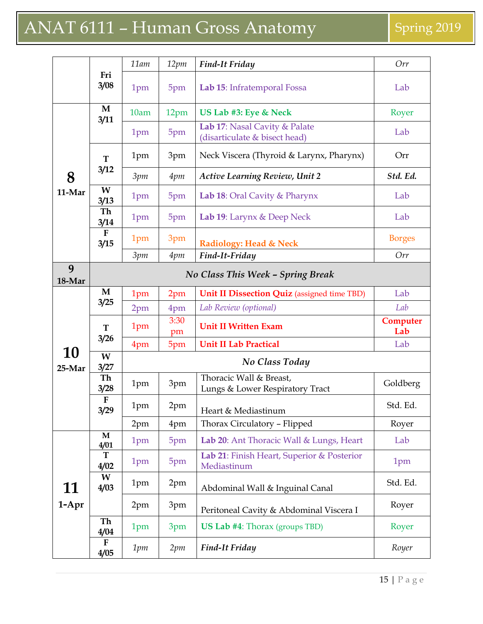|              |                      | 11am | 12pm       | <b>Find-It Friday</b>                                          | Orr             |
|--------------|----------------------|------|------------|----------------------------------------------------------------|-----------------|
|              | Fri<br>3/08          | 1pm  | 5pm        | Lab 15: Infratemporal Fossa                                    | Lab             |
| 3/11         | M                    | 10am | 12pm       | US Lab #3: Eye & Neck                                          | Royer           |
|              |                      | 1pm  | 5pm        | Lab 17: Nasal Cavity & Palate<br>(disarticulate & bisect head) | Lab             |
|              | T                    | 1pm  | 3pm        | Neck Viscera (Thyroid & Larynx, Pharynx)                       | Orr             |
| 8            | 3/12                 | 3pm  | 4pm        | <b>Active Learning Review, Unit 2</b>                          | Std. Ed.        |
| 11-Mar       | W<br>3/13            | 1pm  | 5pm        | Lab 18: Oral Cavity & Pharynx                                  | Lab             |
|              | Th<br>3/14           | 1pm  | 5pm        | Lab 19: Larynx & Deep Neck                                     | Lab             |
|              | ${\bf F}$<br>3/15    | 1pm  | 3pm        | <b>Radiology: Head &amp; Neck</b>                              | <b>Borges</b>   |
|              |                      | 3pm  | 4pm        | Find-It-Friday                                                 | Orr             |
| 9<br>18-Mar  |                      |      |            | No Class This Week - Spring Break                              |                 |
|              | M                    | 1pm  | 2pm        | <b>Unit II Dissection Quiz</b> (assigned time TBD)             | Lab             |
|              | 3/25                 | 2pm  | 4pm        | Lab Review (optional)                                          | Lab             |
|              | T                    | 1pm  | 3:30<br>pm | <b>Unit II Written Exam</b>                                    | Computer<br>Lab |
|              | 3/26                 | 4pm  | 5pm        | <b>Unit II Lab Practical</b>                                   | Lab             |
| 10<br>25-Mar | W<br>3/27            |      |            | No Class Today                                                 |                 |
|              | Th<br>3/28           | 1pm  | 3pm        | Thoracic Wall & Breast,<br>Lungs & Lower Respiratory Tract     | Goldberg        |
|              | ${\bf F}$<br>3/29    | 1pm  | 2pm        | Heart & Mediastinum                                            | Std. Ed.        |
|              |                      | 2pm  | 4pm        | Thorax Circulatory - Flipped                                   | Royer           |
|              | $\mathbf{M}$<br>4/01 | 1pm  | 5pm        | Lab 20: Ant Thoracic Wall & Lungs, Heart                       | Lab             |
|              | T<br>4/02            | 1pm  | 5pm        | Lab 21: Finish Heart, Superior & Posterior<br>Mediastinum      | 1pm             |
| 11           | W<br>4/03            | 1pm  | 2pm        | Abdominal Wall & Inguinal Canal                                | Std. Ed.        |
| $1-Apr$      |                      | 2pm  | 3pm        | Peritoneal Cavity & Abdominal Viscera I                        | Royer           |
|              | Th<br>4/04           | 1pm  | 3pm        | <b>US Lab #4:</b> Thorax (groups TBD)                          | Royer           |
|              | $\mathbf F$<br>4/05  | 1pm  | 2pm        | <b>Find-It Friday</b>                                          | Royer           |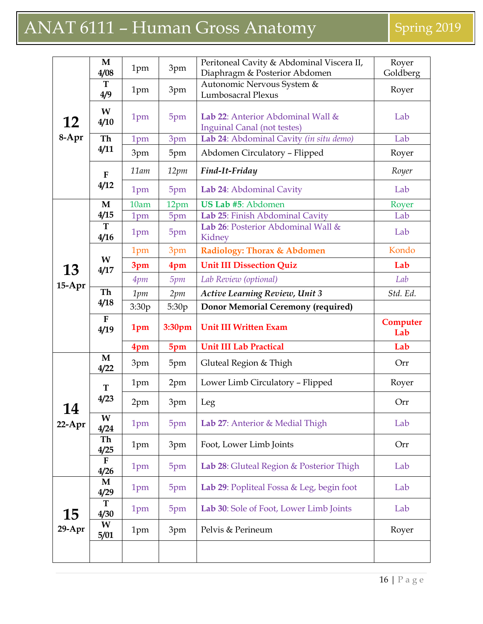|                | $\mathbf M$<br>4/08  | 1pm   | 3pm    | Peritoneal Cavity & Abdominal Viscera II,<br>Diaphragm & Posterior Abdomen | Royer<br>Goldberg |
|----------------|----------------------|-------|--------|----------------------------------------------------------------------------|-------------------|
|                | T<br>4/9             | 1pm   | 3pm    | Autonomic Nervous System &<br><b>Lumbosacral Plexus</b>                    | Royer             |
| <b>12</b>      | W<br>4/10            | 1pm   | 5pm    | Lab 22: Anterior Abdominal Wall &<br><b>Inguinal Canal (not testes)</b>    | Lab               |
| 8-Apr          | Th                   | 1pm   | 3pm    | Lab 24: Abdominal Cavity (in situ demo)                                    | Lab               |
|                | 4/11                 | 3pm   | 5pm    | Abdomen Circulatory - Flipped                                              | Royer             |
|                | $\mathbf{F}$         | 11am  | 12pm   | Find-It-Friday                                                             | Royer             |
|                | 4/12                 | 1pm   | 5pm    | Lab 24: Abdominal Cavity                                                   | Lab               |
|                | M                    | 10am  | 12pm   | US Lab #5: Abdomen                                                         | Royer             |
|                | 4/15                 | 1pm   | 5pm    | Lab 25: Finish Abdominal Cavity                                            | Lab               |
|                | T<br>4/16            | 1pm   | 5pm    | Lab 26: Posterior Abdominal Wall &<br>Kidney                               | Lab               |
|                |                      | 1pm   | 3pm    | Radiology: Thorax & Abdomen                                                | Kondo             |
| <b>13</b>      | W<br>4/17            | 3pm   | 4pm    | <b>Unit III Dissection Quiz</b>                                            | Lab               |
| $15-Apr$       |                      | 4pm   | 5pm    | Lab Review (optional)                                                      | Lab               |
|                | Th                   | 1pm   | 2pm    | <b>Active Learning Review, Unit 3</b>                                      | Std. Ed.          |
|                | 4/18                 | 3:30p | 5:30p  | <b>Donor Memorial Ceremony (required)</b>                                  |                   |
|                |                      |       |        |                                                                            |                   |
|                | $\mathbf{F}$<br>4/19 | 1pm   | 3:30pm | <b>Unit III Written Exam</b>                                               | Computer<br>Lab   |
|                |                      | 4pm   | 5pm    | <b>Unit III Lab Practical</b>                                              | Lab               |
|                | $\mathbf{M}$<br>4/22 | 3pm   | 5pm    | Gluteal Region & Thigh                                                     | Orr               |
|                | $\mathbf T$          | 1pm   | 2pm    | Lower Limb Circulatory - Flipped                                           | Royer             |
|                | 4/23                 | 2pm   | 3pm    | Leg                                                                        | Orr               |
| 14<br>$22-Apr$ | W<br>4/24            | 1pm   | 5pm    | Lab 27: Anterior & Medial Thigh                                            | Lab               |
|                | Th<br>4/25           | 1pm   | 3pm    | Foot, Lower Limb Joints                                                    | Orr               |
|                | $\mathbf{F}$<br>4/26 | 1pm   | 5pm    | Lab 28: Gluteal Region & Posterior Thigh                                   | Lab               |
|                | M<br>4/29            | 1pm   | 5pm    | Lab 29: Popliteal Fossa & Leg, begin foot                                  | Lab               |
| 15             | T<br>4/30            | 1pm   | 5pm    | Lab 30: Sole of Foot, Lower Limb Joints                                    | Lab               |
| $29$ -Apr      | W<br>5/01            | 1pm   | 3pm    | Pelvis & Perineum                                                          | Royer             |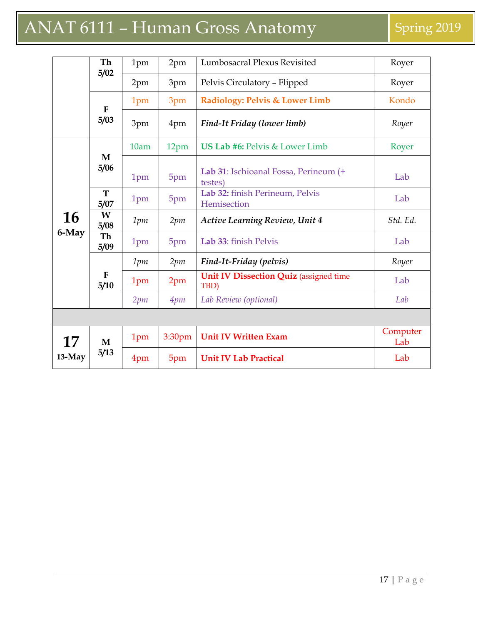|          | Th<br>5/02        | 1pm  | 2pm    | Lumbosacral Plexus Revisited                          | Royer           |
|----------|-------------------|------|--------|-------------------------------------------------------|-----------------|
|          |                   | 2pm  | 3pm    | Pelvis Circulatory - Flipped                          | Royer           |
|          | $\mathbf F$       | 1pm  | 3pm    | Radiology: Pelvis & Lower Limb                        | Kondo           |
|          | 5/03              | 3pm  | 4pm    | Find-It Friday (lower limb)                           | Royer           |
|          |                   | 10am | 12pm   | <b>US Lab #6: Pelvis &amp; Lower Limb</b>             | Royer           |
|          | M<br>5/06         | 1pm  | 5pm    | Lab 31: Ischioanal Fossa, Perineum (+<br>testes)      | Lab             |
|          | T<br>5/07         | 1pm  | 5pm    | Lab 32: finish Perineum, Pelvis<br>Hemisection        | Lab             |
| 16       | W<br>5/08         | 1pm  | 2pm    | <b>Active Learning Review, Unit 4</b>                 | Std. Ed.        |
| 6-May    | <b>Th</b><br>5/09 | 1pm  | 5pm    | Lab 33: finish Pelvis                                 | Lab             |
|          |                   | 1pm  | 2pm    | Find-It-Friday (pelvis)                               | Royer           |
|          | ${\bf F}$<br>5/10 | 1pm  | 2pm    | <b>Unit IV Dissection Quiz</b> (assigned time<br>TBD) | Lab             |
|          |                   | 2pm  | 4pm    | Lab Review (optional)                                 | Lab             |
|          |                   |      |        |                                                       |                 |
| 17       | M                 | 1pm  | 3:30pm | <b>Unit IV Written Exam</b>                           | Computer<br>Lab |
| $13-May$ | 5/13              | 4pm  | 5pm    | <b>Unit IV Lab Practical</b>                          | Lab             |